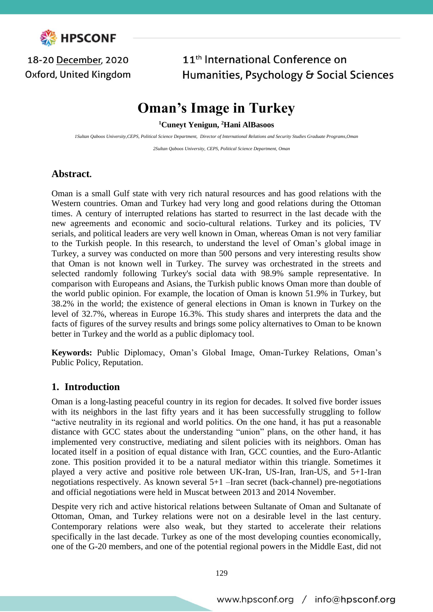

### 18-20 December, 2020 Oxford, United Kingdom

## 11<sup>th</sup> International Conference on Humanities, Psychology & Social Sciences

# **Oman's Image in Turkey**

**<sup>1</sup>Cuneyt Yenigun, <sup>2</sup>Hani AlBasoos**

*1Sultan Qaboos University,CEPS, Political Science Department, Director of International Relations and Security Studies Graduate Programs,Oman*

*2Sultan Qaboos University, CEPS, Political Science Department, Oman*

#### **Abstract.**

Oman is a small Gulf state with very rich natural resources and has good relations with the Western countries. Oman and Turkey had very long and good relations during the Ottoman times. A century of interrupted relations has started to resurrect in the last decade with the new agreements and economic and socio-cultural relations. Turkey and its policies, TV serials, and political leaders are very well known in Oman, whereas Oman is not very familiar to the Turkish people. In this research, to understand the level of Oman's global image in Turkey, a survey was conducted on more than 500 persons and very interesting results show that Oman is not known well in Turkey. The survey was orchestrated in the streets and selected randomly following Turkey's social data with 98.9% sample representative. In comparison with Europeans and Asians, the Turkish public knows Oman more than double of the world public opinion. For example, the location of Oman is known 51.9% in Turkey, but 38.2% in the world; the existence of general elections in Oman is known in Turkey on the level of 32.7%, whereas in Europe 16.3%. This study shares and interprets the data and the facts of figures of the survey results and brings some policy alternatives to Oman to be known better in Turkey and the world as a public diplomacy tool.

**Keywords:** Public Diplomacy, Oman's Global Image, Oman-Turkey Relations, Oman's Public Policy, Reputation.

#### **1. Introduction**

Oman is a long-lasting peaceful country in its region for decades. It solved five border issues with its neighbors in the last fifty years and it has been successfully struggling to follow "active neutrality in its regional and world politics. On the one hand, it has put a reasonable distance with GCC states about the understanding "union" plans, on the other hand, it has implemented very constructive, mediating and silent policies with its neighbors. Oman has located itself in a position of equal distance with Iran, GCC counties, and the Euro-Atlantic zone. This position provided it to be a natural mediator within this triangle. Sometimes it played a very active and positive role between UK-Iran, US-Iran, Iran-US, and 5+1-Iran negotiations respectively. As known several 5+1 –Iran secret (back-channel) pre-negotiations and official negotiations were held in Muscat between 2013 and 2014 November.

Despite very rich and active historical relations between Sultanate of Oman and Sultanate of Ottoman, Oman, and Turkey relations were not on a desirable level in the last century. Contemporary relations were also weak, but they started to accelerate their relations specifically in the last decade. Turkey as one of the most developing counties economically, one of the G-20 members, and one of the potential regional powers in the Middle East, did not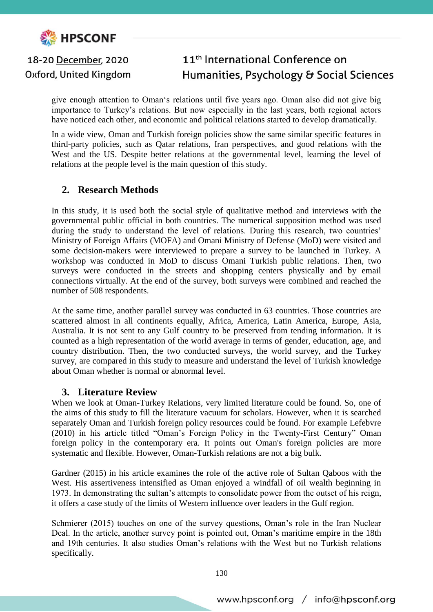

Oxford, United Kingdom

## 11<sup>th</sup> International Conference on Humanities, Psychology & Social Sciences

give enough attention to Oman's relations until five years ago. Oman also did not give big importance to Turkey's relations. But now especially in the last years, both regional actors have noticed each other, and economic and political relations started to develop dramatically.

In a wide view, Oman and Turkish foreign policies show the same similar specific features in third-party policies, such as Qatar relations, Iran perspectives, and good relations with the West and the US. Despite better relations at the governmental level, learning the level of relations at the people level is the main question of this study.

#### **2. Research Methods**

In this study, it is used both the social style of qualitative method and interviews with the governmental public official in both countries. The numerical supposition method was used during the study to understand the level of relations. During this research, two countries' Ministry of Foreign Affairs (MOFA) and Omani Ministry of Defense (MoD) were visited and some decision-makers were interviewed to prepare a survey to be launched in Turkey. A workshop was conducted in MoD to discuss Omani Turkish public relations. Then, two surveys were conducted in the streets and shopping centers physically and by email connections virtually. At the end of the survey, both surveys were combined and reached the number of 508 respondents.

At the same time, another parallel survey was conducted in 63 countries. Those countries are scattered almost in all continents equally, Africa, America, Latin America, Europe, Asia, Australia. It is not sent to any Gulf country to be preserved from tending information. It is counted as a high representation of the world average in terms of gender, education, age, and country distribution. Then, the two conducted surveys, the world survey, and the Turkey survey, are compared in this study to measure and understand the level of Turkish knowledge about Oman whether is normal or abnormal level.

#### **3. Literature Review**

When we look at Oman-Turkey Relations, very limited literature could be found. So, one of the aims of this study to fill the literature vacuum for scholars. However, when it is searched separately Oman and Turkish foreign policy resources could be found. For example Lefebvre (2010) in his article titled "Oman's Foreign Policy in the Twenty-First Century" Oman foreign policy in the contemporary era. It points out Oman's foreign policies are more systematic and flexible. However, Oman-Turkish relations are not a big bulk.

Gardner (2015) in his article examines the role of the active role of Sultan Qaboos with the West. His assertiveness intensified as Oman enjoyed a windfall of oil wealth beginning in 1973. In demonstrating the sultan's attempts to consolidate power from the outset of his reign, it offers a case study of the limits of Western influence over leaders in the Gulf region.

Schmierer (2015) touches on one of the survey questions, Oman's role in the Iran Nuclear Deal. In the article, another survey point is pointed out, Oman's maritime empire in the 18th and 19th centuries. It also studies Oman's relations with the West but no Turkish relations specifically.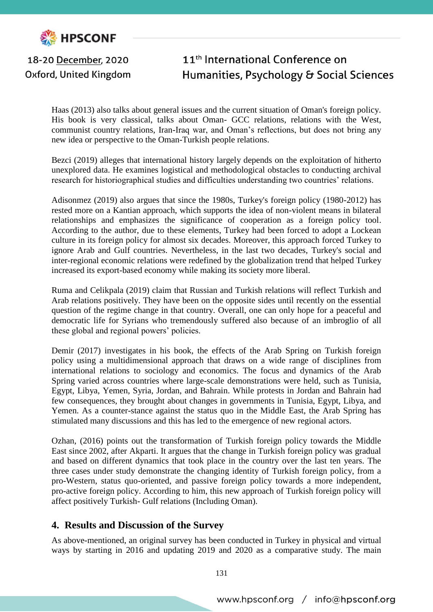

Oxford, United Kingdom

## 11<sup>th</sup> International Conference on Humanities, Psychology & Social Sciences

Haas (2013) also talks about general issues and the current situation of Oman's foreign policy. His book is very classical, talks about Oman- GCC relations, relations with the West, communist country relations, Iran-Iraq war, and Oman's reflections, but does not bring any new idea or perspective to the Oman-Turkish people relations.

Bezci (2019) alleges that international history largely depends on the exploitation of hitherto unexplored data. He examines logistical and methodological obstacles to conducting archival research for historiographical studies and difficulties understanding two countries' relations.

Adisonmez (2019) also argues that since the 1980s, Turkey's foreign policy (1980-2012) has rested more on a Kantian approach, which supports the idea of non-violent means in bilateral relationships and emphasizes the significance of cooperation as a foreign policy tool. According to the author, due to these elements, Turkey had been forced to adopt a Lockean culture in its foreign policy for almost six decades. Moreover, this approach forced Turkey to ignore Arab and Gulf countries. Nevertheless, in the last two decades, Turkey's social and inter-regional economic relations were redefined by the globalization trend that helped Turkey increased its export-based economy while making its society more liberal.

Ruma and Celikpala (2019) claim that Russian and Turkish relations will reflect Turkish and Arab relations positively. They have been on the opposite sides until recently on the essential question of the regime change in that country. Overall, one can only hope for a peaceful and democratic life for Syrians who tremendously suffered also because of an imbroglio of all these global and regional powers' policies.

Demir (2017) investigates in his book, the effects of the Arab Spring on Turkish foreign policy using a multidimensional approach that draws on a wide range of disciplines from international relations to sociology and economics. The focus and dynamics of the Arab Spring varied across countries where large-scale demonstrations were held, such as Tunisia, Egypt, Libya, Yemen, Syria, Jordan, and Bahrain. While protests in Jordan and Bahrain had few consequences, they brought about changes in governments in Tunisia, Egypt, Libya, and Yemen. As a counter-stance against the status quo in the Middle East, the Arab Spring has stimulated many discussions and this has led to the emergence of new regional actors.

Ozhan, (2016) points out the transformation of Turkish foreign policy towards the Middle East since 2002, after Akparti. It argues that the change in Turkish foreign policy was gradual and based on different dynamics that took place in the country over the last ten years. The three cases under study demonstrate the changing identity of Turkish foreign policy, from a pro-Western, status quo-oriented, and passive foreign policy towards a more independent, pro-active foreign policy. According to him, this new approach of Turkish foreign policy will affect positively Turkish- Gulf relations (Including Oman).

#### **4. Results and Discussion of the Survey**

As above-mentioned, an original survey has been conducted in Turkey in physical and virtual ways by starting in 2016 and updating 2019 and 2020 as a comparative study. The main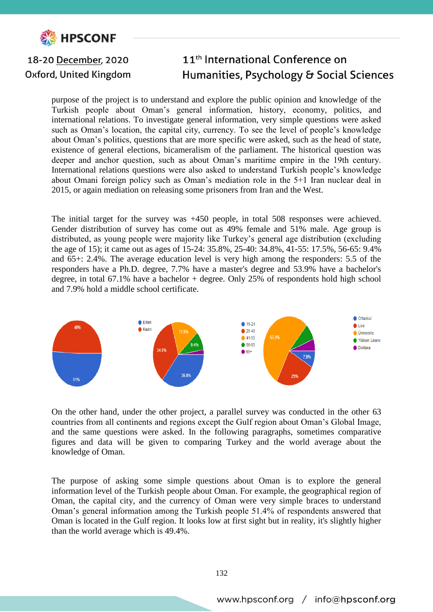

Oxford, United Kingdom

### 11<sup>th</sup> International Conference on Humanities, Psychology & Social Sciences

purpose of the project is to understand and explore the public opinion and knowledge of the Turkish people about Oman's general information, history, economy, politics, and international relations. To investigate general information, very simple questions were asked such as Oman's location, the capital city, currency. To see the level of people's knowledge about Oman's politics, questions that are more specific were asked, such as the head of state, existence of general elections, bicameralism of the parliament. The historical question was deeper and anchor question, such as about Oman's maritime empire in the 19th century. International relations questions were also asked to understand Turkish people's knowledge about Omani foreign policy such as Oman's mediation role in the 5+1 Iran nuclear deal in 2015, or again mediation on releasing some prisoners from Iran and the West.

The initial target for the survey was +450 people, in total 508 responses were achieved. Gender distribution of survey has come out as 49% female and 51% male. Age group is distributed, as young people were majority like Turkey's general age distribution (excluding the age of 15); it came out as ages of 15-24: 35.8%, 25-40: 34.8%, 41-55: 17.5%, 56-65: 9.4% and 65+: 2.4%. The average education level is very high among the responders: 5.5 of the responders have a Ph.D. degree, 7.7% have a master's degree and 53.9% have a bachelor's degree, in total 67.1% have a bachelor + degree. Only 25% of respondents hold high school and 7.9% hold a middle school certificate.



On the other hand, under the other project, a parallel survey was conducted in the other 63 countries from all continents and regions except the Gulf region about Oman's Global Image, and the same questions were asked. In the following paragraphs, sometimes comparative figures and data will be given to comparing Turkey and the world average about the knowledge of Oman.

The purpose of asking some simple questions about Oman is to explore the general information level of the Turkish people about Oman. For example, the geographical region of Oman, the capital city, and the currency of Oman were very simple braces to understand Oman's general information among the Turkish people 51.4% of respondents answered that Oman is located in the Gulf region. It looks low at first sight but in reality, it's slightly higher than the world average which is 49.4%.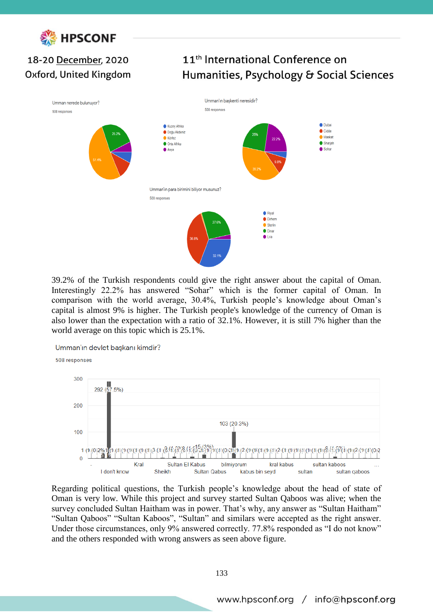

## 18-20 December, 2020 Oxford, United Kingdom

## 11<sup>th</sup> International Conference on Humanities, Psychology & Social Sciences



39.2% of the Turkish respondents could give the right answer about the capital of Oman. Interestingly 22.2% has answered "Sohar" which is the former capital of Oman. In comparison with the world average, 30.4%, Turkish people's knowledge about Oman's capital is almost 9% is higher. The Turkish people's knowledge of the currency of Oman is also lower than the expectation with a ratio of 32.1%. However, it is still 7% higher than the world average on this topic which is 25.1%.



Regarding political questions, the Turkish people's knowledge about the head of state of Oman is very low. While this project and survey started Sultan Qaboos was alive; when the survey concluded Sultan Haitham was in power. That's why, any answer as "Sultan Haitham" "Sultan Qaboos" "Sultan Kaboos", "Sultan" and similars were accepted as the right answer. Under those circumstances, only 9% answered correctly. 77.8% responded as "I do not know" and the others responded with wrong answers as seen above figure.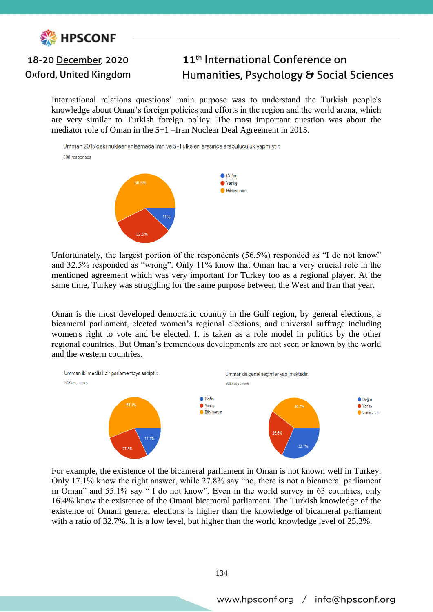

Oxford, United Kingdom

## 11<sup>th</sup> International Conference on Humanities, Psychology & Social Sciences

International relations questions' main purpose was to understand the Turkish people's knowledge about Oman's foreign policies and efforts in the region and the world arena, which are very similar to Turkish foreign policy. The most important question was about the mediator role of Oman in the 5+1 –Iran Nuclear Deal Agreement in 2015.

Umman 2015'deki nükleer anlaşmada İran ve 5+1 ülkeleri arasında arabuluculuk yapmıştır. 508 responses



Unfortunately, the largest portion of the respondents (56.5%) responded as "I do not know" and 32.5% responded as "wrong". Only 11% know that Oman had a very crucial role in the mentioned agreement which was very important for Turkey too as a regional player. At the same time, Turkey was struggling for the same purpose between the West and Iran that year.

Oman is the most developed democratic country in the Gulf region, by general elections, a bicameral parliament, elected women's regional elections, and universal suffrage including women's right to vote and be elected. It is taken as a role model in politics by the other regional countries. But Oman's tremendous developments are not seen or known by the world and the western countries.



For example, the existence of the bicameral parliament in Oman is not known well in Turkey. Only 17.1% know the right answer, while 27.8% say "no, there is not a bicameral parliament in Oman" and 55.1% say " I do not know". Even in the world survey in 63 countries, only 16.4% know the existence of the Omani bicameral parliament. The Turkish knowledge of the existence of Omani general elections is higher than the knowledge of bicameral parliament with a ratio of 32.7%. It is a low level, but higher than the world knowledge level of 25.3%.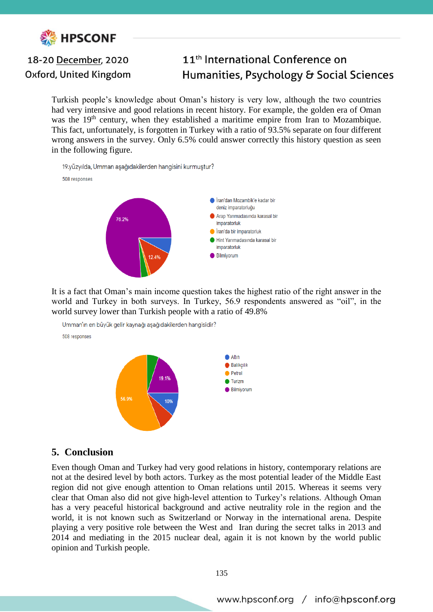

Oxford, United Kingdom

## 11<sup>th</sup> International Conference on Humanities, Psychology & Social Sciences

Turkish people's knowledge about Oman's history is very low, although the two countries had very intensive and good relations in recent history. For example, the golden era of Oman was the 19<sup>th</sup> century, when they established a maritime empire from Iran to Mozambique. This fact, unfortunately, is forgotten in Turkey with a ratio of 93.5% separate on four different wrong answers in the survey. Only 6.5% could answer correctly this history question as seen in the following figure.

19.yüzyılda, Umman aşağıdakilerden hangisini kurmuştur?





It is a fact that Oman's main income question takes the highest ratio of the right answer in the world and Turkey in both surveys. In Turkey, 56.9 respondents answered as "oil", in the world survey lower than Turkish people with a ratio of 49.8%



#### **5. Conclusion**

Even though Oman and Turkey had very good relations in history, contemporary relations are not at the desired level by both actors. Turkey as the most potential leader of the Middle East region did not give enough attention to Oman relations until 2015. Whereas it seems very clear that Oman also did not give high-level attention to Turkey's relations. Although Oman has a very peaceful historical background and active neutrality role in the region and the world, it is not known such as Switzerland or Norway in the international arena. Despite playing a very positive role between the West and Iran during the secret talks in 2013 and 2014 and mediating in the 2015 nuclear deal, again it is not known by the world public opinion and Turkish people.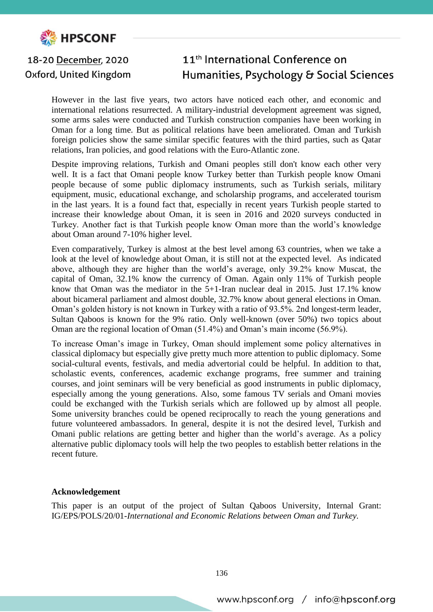

Oxford, United Kingdom

## 11<sup>th</sup> International Conference on Humanities, Psychology & Social Sciences

However in the last five years, two actors have noticed each other, and economic and international relations resurrected. A military-industrial development agreement was signed, some arms sales were conducted and Turkish construction companies have been working in Oman for a long time. But as political relations have been ameliorated. Oman and Turkish foreign policies show the same similar specific features with the third parties, such as Qatar relations, Iran policies, and good relations with the Euro-Atlantic zone.

Despite improving relations, Turkish and Omani peoples still don't know each other very well. It is a fact that Omani people know Turkey better than Turkish people know Omani people because of some public diplomacy instruments, such as Turkish serials, military equipment, music, educational exchange, and scholarship programs, and accelerated tourism in the last years. It is a found fact that, especially in recent years Turkish people started to increase their knowledge about Oman, it is seen in 2016 and 2020 surveys conducted in Turkey. Another fact is that Turkish people know Oman more than the world's knowledge about Oman around 7-10% higher level.

Even comparatively, Turkey is almost at the best level among 63 countries, when we take a look at the level of knowledge about Oman, it is still not at the expected level. As indicated above, although they are higher than the world's average, only 39.2% know Muscat, the capital of Oman, 32.1% know the currency of Oman. Again only 11% of Turkish people know that Oman was the mediator in the 5+1-Iran nuclear deal in 2015. Just 17.1% know about bicameral parliament and almost double, 32.7% know about general elections in Oman. Oman's golden history is not known in Turkey with a ratio of 93.5%. 2nd longest-term leader, Sultan Qaboos is known for the 9% ratio. Only well-known (over 50%) two topics about Oman are the regional location of Oman (51.4%) and Oman's main income (56.9%).

To increase Oman's image in Turkey, Oman should implement some policy alternatives in classical diplomacy but especially give pretty much more attention to public diplomacy. Some social-cultural events, festivals, and media advertorial could be helpful. In addition to that, scholastic events, conferences, academic exchange programs, free summer and training courses, and joint seminars will be very beneficial as good instruments in public diplomacy, especially among the young generations. Also, some famous TV serials and Omani movies could be exchanged with the Turkish serials which are followed up by almost all people. Some university branches could be opened reciprocally to reach the young generations and future volunteered ambassadors. In general, despite it is not the desired level, Turkish and Omani public relations are getting better and higher than the world's average. As a policy alternative public diplomacy tools will help the two peoples to establish better relations in the recent future.

#### **Acknowledgement**

This paper is an output of the project of Sultan Qaboos University, Internal Grant: IG/EPS/POLS/20/01-*International and Economic Relations between Oman and Turkey.*